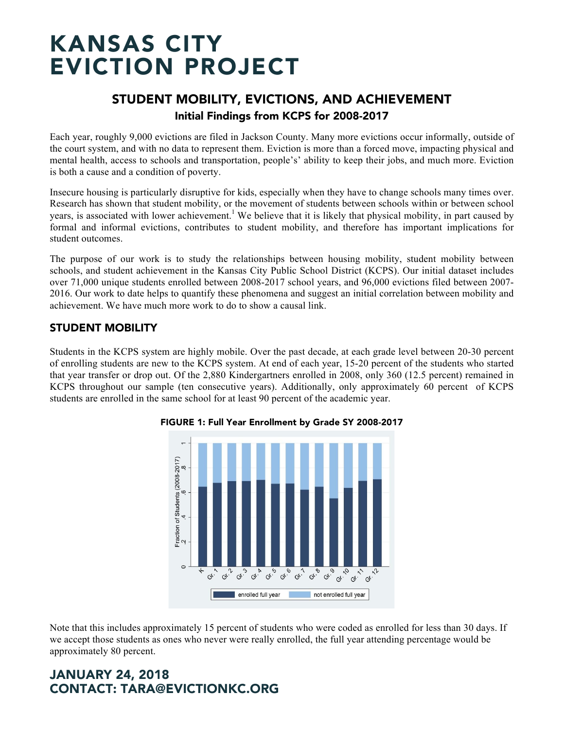# STUDENT MOBILITY, EVICTIONS, AND ACHIEVEMENT Initial Findings from KCPS for 2008-2017

Each year, roughly 9,000 evictions are filed in Jackson County. Many more evictions occur informally, outside of the court system, and with no data to represent them. Eviction is more than a forced move, impacting physical and mental health, access to schools and transportation, people's' ability to keep their jobs, and much more. Eviction is both a cause and a condition of poverty.

Insecure housing is particularly disruptive for kids, especially when they have to change schools many times over. Research has shown that student mobility, or the movement of students between schools within or between school years, is associated with lower achievement.<sup>1</sup> We believe that it is likely that physical mobility, in part caused by formal and informal evictions, contributes to student mobility, and therefore has important implications for student outcomes.

The purpose of our work is to study the relationships between housing mobility, student mobility between schools, and student achievement in the Kansas City Public School District (KCPS). Our initial dataset includes over 71,000 unique students enrolled between 2008-2017 school years, and 96,000 evictions filed between 2007- 2016. Our work to date helps to quantify these phenomena and suggest an initial correlation between mobility and achievement. We have much more work to do to show a causal link.

### STUDENT MOBILITY

Students in the KCPS system are highly mobile. Over the past decade, at each grade level between 20-30 percent of enrolling students are new to the KCPS system. At end of each year, 15-20 percent of the students who started that year transfer or drop out. Of the 2,880 Kindergartners enrolled in 2008, only 360 (12.5 percent) remained in KCPS throughout our sample (ten consecutive years). Additionally, only approximately 60 percent of KCPS students are enrolled in the same school for at least 90 percent of the academic year.



#### FIGURE 1: Full Year Enrollment by Grade SY 2008-2017

Note that this includes approximately 15 percent of students who were coded as enrolled for less than 30 days. If we accept those students as ones who never were really enrolled, the full year attending percentage would be approximately 80 percent.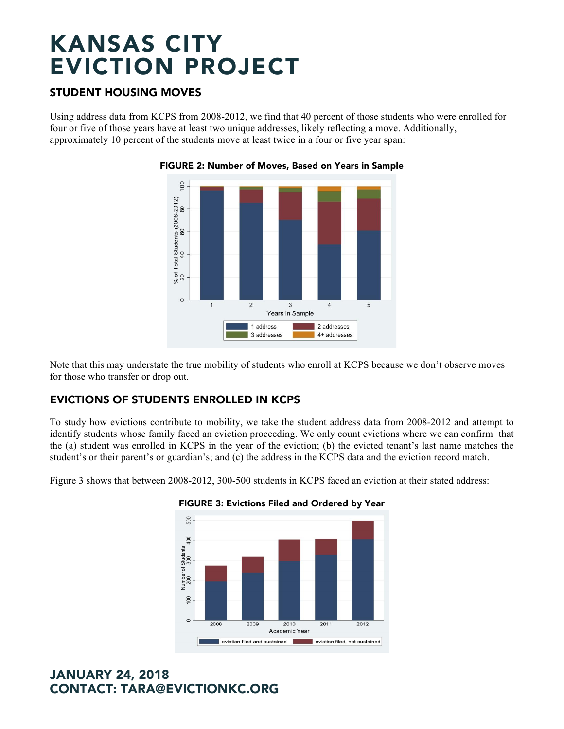### STUDENT HOUSING MOVES

Using address data from KCPS from 2008-2012, we find that 40 percent of those students who were enrolled for four or five of those years have at least two unique addresses, likely reflecting a move. Additionally, approximately 10 percent of the students move at least twice in a four or five year span:



#### FIGURE 2: Number of Moves, Based on Years in Sample

Note that this may understate the true mobility of students who enroll at KCPS because we don't observe moves for those who transfer or drop out.

## EVICTIONS OF STUDENTS ENROLLED IN KCPS

To study how evictions contribute to mobility, we take the student address data from 2008-2012 and attempt to identify students whose family faced an eviction proceeding. We only count evictions where we can confirm that the (a) student was enrolled in KCPS in the year of the eviction; (b) the evicted tenant's last name matches the student's or their parent's or guardian's; and (c) the address in the KCPS data and the eviction record match.

Figure 3 shows that between 2008-2012, 300-500 students in KCPS faced an eviction at their stated address:



#### FIGURE 3: Evictions Filed and Ordered by Year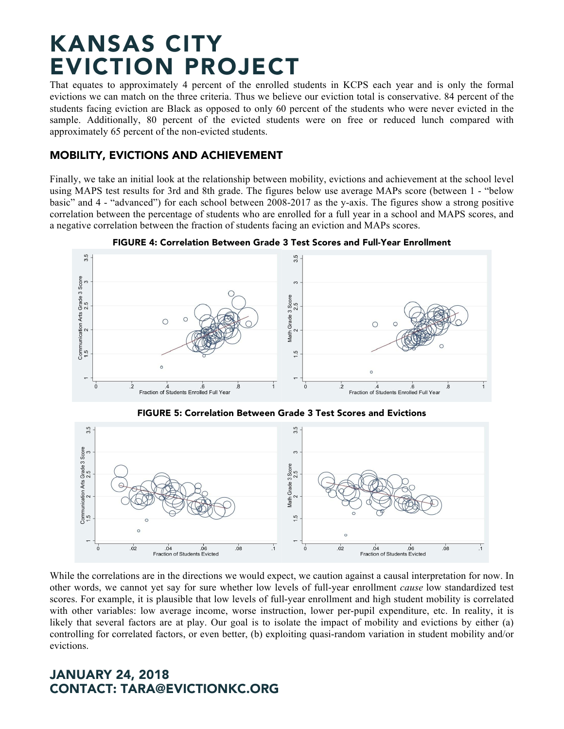That equates to approximately 4 percent of the enrolled students in KCPS each year and is only the formal evictions we can match on the three criteria. Thus we believe our eviction total is conservative. 84 percent of the students facing eviction are Black as opposed to only 60 percent of the students who were never evicted in the sample. Additionally, 80 percent of the evicted students were on free or reduced lunch compared with approximately 65 percent of the non-evicted students.

### MOBILITY, EVICTIONS AND ACHIEVEMENT

Finally, we take an initial look at the relationship between mobility, evictions and achievement at the school level using MAPS test results for 3rd and 8th grade. The figures below use average MAPs score (between 1 - "below basic" and 4 - "advanced") for each school between 2008-2017 as the y-axis. The figures show a strong positive correlation between the percentage of students who are enrolled for a full year in a school and MAPS scores, and a negative correlation between the fraction of students facing an eviction and MAPs scores.



FIGURE 4: Correlation Between Grade 3 Test Scores and Full-Year Enrollment

FIGURE 5: Correlation Between Grade 3 Test Scores and Evictions



While the correlations are in the directions we would expect, we caution against a causal interpretation for now. In other words, we cannot yet say for sure whether low levels of full-year enrollment *cause* low standardized test scores. For example, it is plausible that low levels of full-year enrollment and high student mobility is correlated with other variables: low average income, worse instruction, lower per-pupil expenditure, etc. In reality, it is likely that several factors are at play. Our goal is to isolate the impact of mobility and evictions by either (a) controlling for correlated factors, or even better, (b) exploiting quasi-random variation in student mobility and/or evictions.